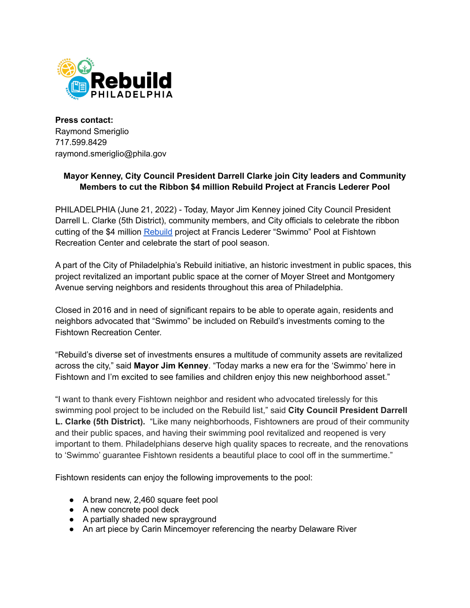

**Press contact:** Raymond Smeriglio 717.599.8429 raymond.smeriglio@phila.gov

## **Mayor Kenney, City Council President Darrell Clarke join City leaders and Community Members to cut the Ribbon \$4 million Rebuild Project at Francis Lederer Pool**

PHILADELPHIA (June 21, 2022) - Today, Mayor Jim Kenney joined City Council President Darrell L. Clarke (5th District), community members, and City officials to celebrate the ribbon cutting of the \$4 million [Rebuild](http://rebuild.phila.gov) project at Francis Lederer "Swimmo" Pool at Fishtown Recreation Center and celebrate the start of pool season.

A part of the City of Philadelphia's Rebuild initiative, an historic investment in public spaces, this project revitalized an important public space at the corner of Moyer Street and Montgomery Avenue serving neighbors and residents throughout this area of Philadelphia.

Closed in 2016 and in need of significant repairs to be able to operate again, residents and neighbors advocated that "Swimmo" be included on Rebuild's investments coming to the Fishtown Recreation Center.

"Rebuild's diverse set of investments ensures a multitude of community assets are revitalized across the city," said **Mayor Jim Kenney**. "Today marks a new era for the 'Swimmo' here in Fishtown and I'm excited to see families and children enjoy this new neighborhood asset."

"I want to thank every Fishtown neighbor and resident who advocated tirelessly for this swimming pool project to be included on the Rebuild list," said **City Council President Darrell L. Clarke (5th District).** "Like many neighborhoods, Fishtowners are proud of their community and their public spaces, and having their swimming pool revitalized and reopened is very important to them. Philadelphians deserve high quality spaces to recreate, and the renovations to 'Swimmo' guarantee Fishtown residents a beautiful place to cool off in the summertime."

Fishtown residents can enjoy the following improvements to the pool:

- A brand new, 2,460 square feet pool
- A new concrete pool deck
- A partially shaded new sprayground
- An art piece by Carin Mincemoyer referencing the nearby Delaware River